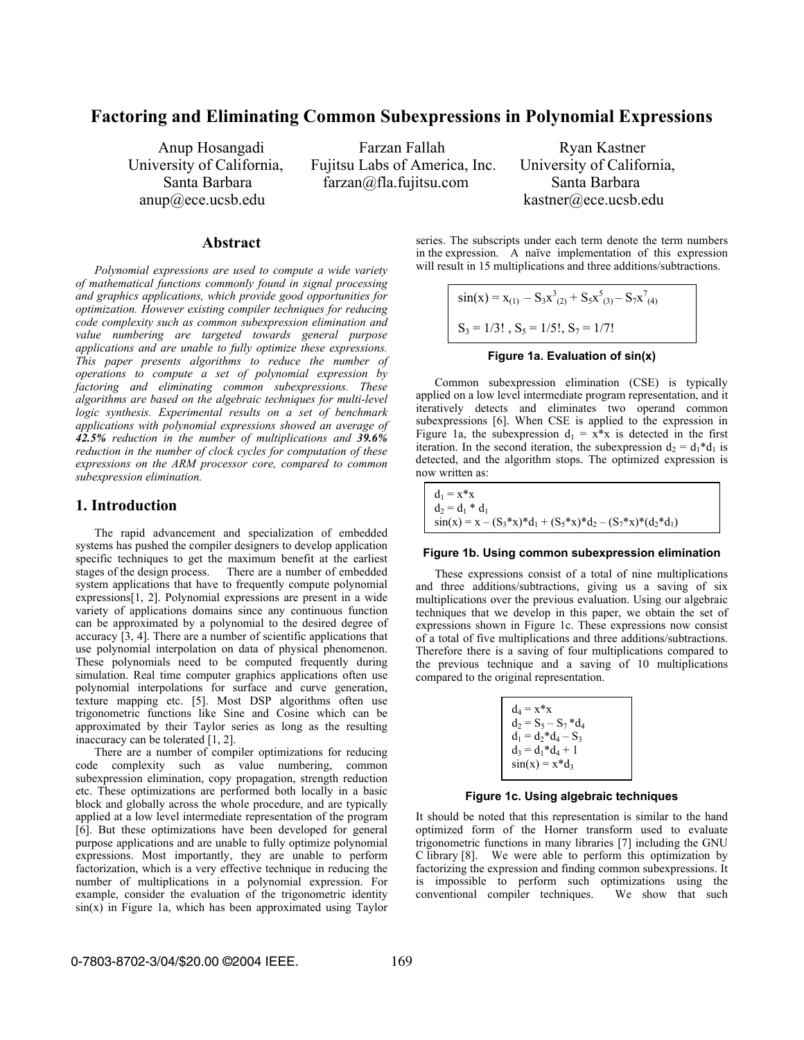# **Factoring and Eliminating Common Subexpressions in Polynomial Expressions**

Anup Hosangadi Farzan Fallah Ryan Kastner University of California, Fujitsu Labs of America, Inc. University of California, Santa Barbara farzan@fla.fujitsu.com Santa Barbara

anup@ece.ucsb.edu kastner@ece.ucsb.edu

# **Abstract**

*Polynomial expressions are used to compute a wide variety of mathematical functions commonly found in signal processing and graphics applications, which provide good opportunities for optimization. However existing compiler techniques for reducing code complexity such as common subexpression elimination and value numbering are targeted towards general purpose applications and are unable to fully optimize these expressions. This paper presents algorithms to reduce the number of operations to compute a set of polynomial expression by factoring and eliminating common subexpressions. These algorithms are based on the algebraic techniques for multi-level logic synthesis. Experimental results on a set of benchmark applications with polynomial expressions showed an average of 42.5% reduction in the number of multiplications and 39.6% reduction in the number of clock cycles for computation of these expressions on the ARM processor core, compared to common subexpression elimination.* 

# **1. Introduction**

The rapid advancement and specialization of embedded systems has pushed the compiler designers to develop application specific techniques to get the maximum benefit at the earliest stages of the design process. There are a number of embedded system applications that have to frequently compute polynomial expressions[1, 2]. Polynomial expressions are present in a wide variety of applications domains since any continuous function can be approximated by a polynomial to the desired degree of accuracy [3, 4]. There are a number of scientific applications that use polynomial interpolation on data of physical phenomenon. These polynomials need to be computed frequently during simulation. Real time computer graphics applications often use polynomial interpolations for surface and curve generation, texture mapping etc. [5]. Most DSP algorithms often use trigonometric functions like Sine and Cosine which can be approximated by their Taylor series as long as the resulting inaccuracy can be tolerated [1, 2].

 There are a number of compiler optimizations for reducing code complexity such as value numbering, common subexpression elimination, copy propagation, strength reduction etc. These optimizations are performed both locally in a basic block and globally across the whole procedure, and are typically applied at a low level intermediate representation of the program [6]. But these optimizations have been developed for general purpose applications and are unable to fully optimize polynomial expressions. Most importantly, they are unable to perform factorization, which is a very effective technique in reducing the number of multiplications in a polynomial expression. For example, consider the evaluation of the trigonometric identity  $sin(x)$  in Figure 1a, which has been approximated using Taylor

series. The subscripts under each term denote the term numbers in the expression. A naïve implementation of this expression will result in 15 multiplications and three additions/subtractions.

$$
\sin(x) = x_{(1)} - S_3 x^3_{(2)} + S_5 x^5_{(3)} - S_7 x^7_{(4)}
$$
  

$$
S_3 = 1/3! , S_5 = 1/5! , S_7 = 1/7!
$$

#### **Figure 1a. Evaluation of sin(x)**

 Common subexpression elimination (CSE) is typically applied on a low level intermediate program representation, and it iteratively detects and eliminates two operand common subexpressions [6]. When CSE is applied to the expression in Figure 1a, the subexpression  $d_1 = x^*x$  is detected in the first iteration. In the second iteration, the subexpression  $d_2 = d_1 * d_1$  is detected, and the algorithm stops. The optimized expression is now written as:

 $d_1 = x^*x$  $d_2 = d_1 * d_1$  $sin(x) = x - (S_3 * x) * d_1 + (S_5 * x) * d_2 - (S_7 * x) * (d_2 * d_1)$ 

#### **Figure 1b. Using common subexpression elimination**

 These expressions consist of a total of nine multiplications and three additions/subtractions, giving us a saving of six multiplications over the previous evaluation. Using our algebraic techniques that we develop in this paper, we obtain the set of expressions shown in Figure 1c. These expressions now consist of a total of five multiplications and three additions/subtractions. Therefore there is a saving of four multiplications compared to the previous technique and a saving of 10 multiplications compared to the original representation.

| $d_4 = x^*x$            |  |
|-------------------------|--|
| $d_2 = S_5 - S_7 * d_4$ |  |
| $d_1 = d_2 * d_4 - S_3$ |  |
| $d_3 = d_1 * d_4 + 1$   |  |
| $sin(x) = x * d_3$      |  |

#### **Figure 1c. Using algebraic techniques**

It should be noted that this representation is similar to the hand optimized form of the Horner transform used to evaluate trigonometric functions in many libraries [7] including the GNU C library [8]. We were able to perform this optimization by factorizing the expression and finding common subexpressions. It is impossible to perform such optimizations using the conventional compiler techniques. We show that such conventional compiler techniques.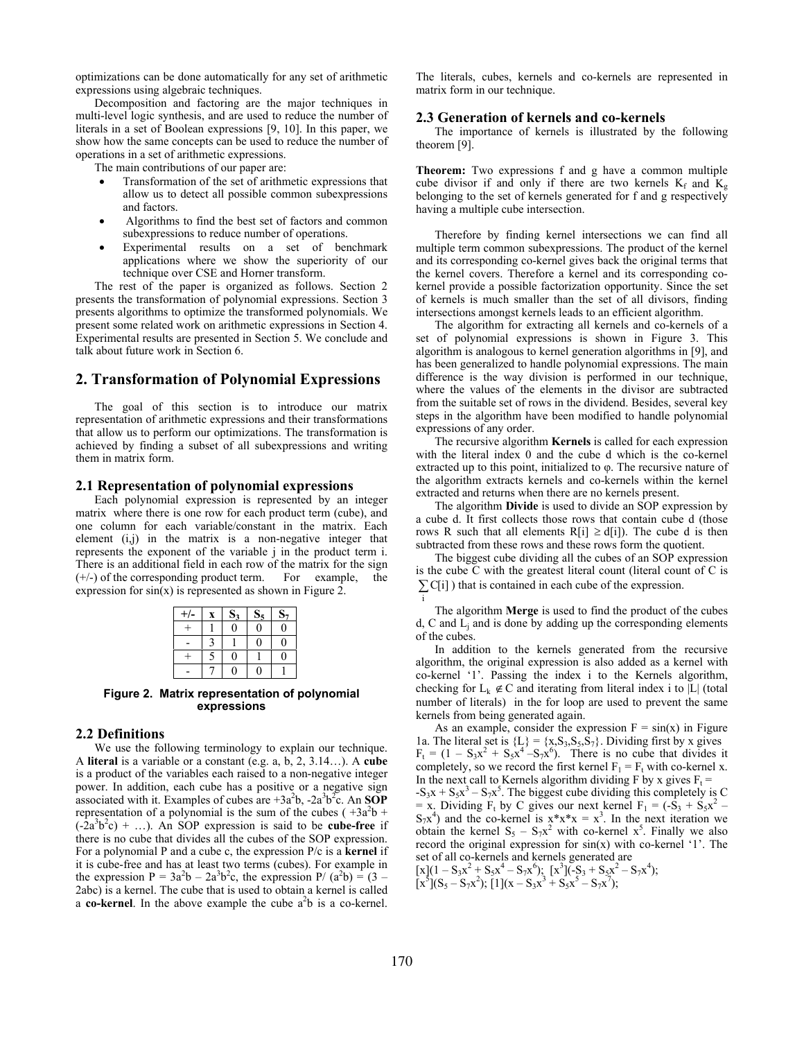optimizations can be done automatically for any set of arithmetic expressions using algebraic techniques.

 Decomposition and factoring are the major techniques in multi-level logic synthesis, and are used to reduce the number of literals in a set of Boolean expressions [9, 10]. In this paper, we show how the same concepts can be used to reduce the number of operations in a set of arithmetic expressions.

The main contributions of our paper are:

- Transformation of the set of arithmetic expressions that allow us to detect all possible common subexpressions and factors.
- Algorithms to find the best set of factors and common subexpressions to reduce number of operations.
- Experimental results on a set of benchmark applications where we show the superiority of our technique over CSE and Horner transform.

 The rest of the paper is organized as follows. Section 2 presents the transformation of polynomial expressions. Section 3 presents algorithms to optimize the transformed polynomials. We present some related work on arithmetic expressions in Section 4. Experimental results are presented in Section 5. We conclude and talk about future work in Section 6.

# **2. Transformation of Polynomial Expressions**

The goal of this section is to introduce our matrix representation of arithmetic expressions and their transformations that allow us to perform our optimizations. The transformation is achieved by finding a subset of all subexpressions and writing them in matrix form.

#### **2.1 Representation of polynomial expressions**

Each polynomial expression is represented by an integer matrix where there is one row for each product term (cube), and one column for each variable/constant in the matrix. Each element  $(i, j)$  in the matrix is a non-negative integer that represents the exponent of the variable j in the product term i. There is an additional field in each row of the matrix for the sign  $(+/-)$  of the corresponding product term. For example, the expression for  $sin(x)$  is represented as shown in Figure 2.

| $+/-$ | $\boldsymbol{\mathrm{X}}$ | $S_3$ | $\frac{\overline{S_5}}{0}$ | $S_7$ |
|-------|---------------------------|-------|----------------------------|-------|
|       |                           | 1)    |                            | 0     |
|       |                           |       | 0                          | 0     |
| $\pm$ |                           | n     |                            | 0     |
|       |                           |       | J                          |       |

**Figure 2. Matrix representation of polynomial expressions** 

# **2.2 Definitions**

 We use the following terminology to explain our technique. A **literal** is a variable or a constant (e.g. a, b, 2, 3.14…). A **cube** is a product of the variables each raised to a non-negative integer power. In addition, each cube has a positive or a negative sign associated with it. Examples of cubes are  $+3a^2b$ ,  $-2a^3b^2c$ . An **SOP** representation of a polynomial is the sum of the cubes  $(+3a^2b +$  $(-2a^3b^2c) + ...$ ). An SOP expression is said to be **cube-free** if there is no cube that divides all the cubes of the SOP expression. For a polynomial P and a cube c, the expression P/c is a **kernel** if it is cube-free and has at least two terms (cubes). For example in the expression P =  $3a^2b - 2a^3b^2c$ , the expression P/  $(a^2b) = (3 -$ 2abc) is a kernel. The cube that is used to obtain a kernel is called a **co-kernel**. In the above example the cube  $a^2b$  is a co-kernel. The literals, cubes, kernels and co-kernels are represented in matrix form in our technique.

#### **2.3 Generation of kernels and co-kernels**

The importance of kernels is illustrated by the following theorem [9].

**Theorem:** Two expressions f and g have a common multiple cube divisor if and only if there are two kernels  $K_f$  and  $K_g$ belonging to the set of kernels generated for f and g respectively having a multiple cube intersection.

 Therefore by finding kernel intersections we can find all multiple term common subexpressions. The product of the kernel and its corresponding co-kernel gives back the original terms that the kernel covers. Therefore a kernel and its corresponding cokernel provide a possible factorization opportunity. Since the set of kernels is much smaller than the set of all divisors, finding intersections amongst kernels leads to an efficient algorithm.

The algorithm for extracting all kernels and co-kernels of a set of polynomial expressions is shown in Figure 3. This algorithm is analogous to kernel generation algorithms in [9], and has been generalized to handle polynomial expressions. The main difference is the way division is performed in our technique, where the values of the elements in the divisor are subtracted from the suitable set of rows in the dividend. Besides, several key steps in the algorithm have been modified to handle polynomial expressions of any order.

The recursive algorithm **Kernels** is called for each expression with the literal index 0 and the cube d which is the co-kernel extracted up to this point, initialized to  $\varphi$ . The recursive nature of the algorithm extracts kernels and co-kernels within the kernel extracted and returns when there are no kernels present.

The algorithm **Divide** is used to divide an SOP expression by a cube d. It first collects those rows that contain cube d (those rows R such that all elements  $R[i] \ge d[i]$ ). The cube d is then subtracted from these rows and these rows form the quotient.

The biggest cube dividing all the cubes of an SOP expression is the cube C with the greatest literal count (literal count of C is  $\sum C[i]$ ) that is contained in each cube of the expression. i

The algorithm **Merge** is used to find the product of the cubes  $d$ , C and  $L_i$  and is done by adding up the corresponding elements of the cubes.

In addition to the kernels generated from the recursive algorithm, the original expression is also added as a kernel with co-kernel '1'. Passing the index i to the Kernels algorithm, checking for  $L_k \notin C$  and iterating from literal index i to |L| (total number of literals) in the for loop are used to prevent the same kernels from being generated again.

As an example, consider the expression  $F = sin(x)$  in Figure 1a. The literal set is  ${L} = {x, S_3, S_5, S_7}$ . Dividing first by x gives  $F_t = (1 - S_3x^2 + S_5x^4 - S_7x^6)$ . There is no cube that divides it completely, so we record the first kernel  $F_1 = F_t$  with co-kernel x. In the next call to Kernels algorithm dividing F by x gives  $F_t$  =  $-S_3x + S_5x^3 - S_7x^5$ . The biggest cube dividing this completely is C  $=$  x. Dividing  $F_t$  by C gives our next kernel  $F_1 = (-S_3 + S_5x^2 S_7x^4$ ) and the co-kernel is  $x^*x^*x = x^3$ . In the next iteration we obtain the kernel  $S_5 - S_7x^2$  with co-kernel  $x^5$ . Finally we also record the original expression for  $sin(x)$  with co-kernel '1'. The set of all co-kernels and kernels generated are

 $[x](1 - S_3x^2 + S_5x^4 - S_7x^6);$   $[x^3](-S_3 + S_5x^2 - S_7x^4);$  $[x^{5}](S_{5} - S_{7}x^{2})$ ; [1](x - S<sub>3</sub>x<sup>3</sup> + S<sub>5</sub>x<sup>5</sup> - S<sub>7</sub>x<sup>7</sup>);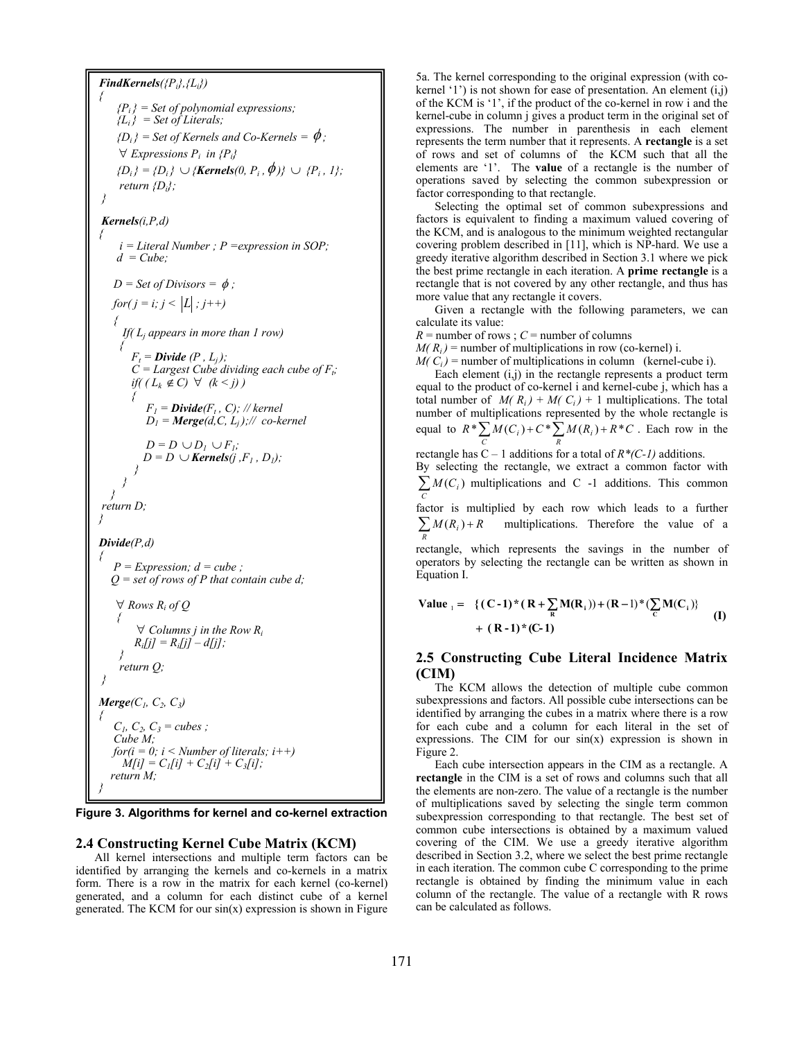*FindKernels({Pi},{Li}) { {Pi } = Set of polynomial expressions;*   ${L_i}$  = Set of Literals;  $\{D_i\}$  = Set of Kernels and Co-Kernels =  $\phi$ ;  $\forall$  *Expressions P<sub>i</sub> in {P<sub>i</sub>}*  ${D_i} = {D_i} \cup {Kernels(0, P_i, \phi)} \cup {P_i, I};$  *return {Di}; } Kernels(i,P,d) { i = Literal Number ; P =expression in SOP;*   $d = Cube;$  $D = Set of Divisors = \phi$ ;  $for(j = i; j < |L|; j++)$  *{ If( Lj appears in more than 1 row) {*   $F_t = \textbf{Divide}(P, L_j);$  $C = \text{Largest Cube dividing each cube of } F_t$ ; *if*(  $(L_k \notin C) \ \forall \ (k \leq j)$  )  *{*   $F_1 = \text{Divide}(F_t, C)$ ; // kernel  $D_l = \text{Merge}(d, C, L_i);$ // co-kernel  $D = D \cup D_1 \cup F_1;$  $D = D \cup \textit{Kernels}(i, F_1, D_1);$  *} } } return D; } Divide(P,d) {*   $P = Expression$ ;  $d = cube$ ;  *Q = set of rows of P that contain cube d;*   $\forall$  *Rows*  $R_i$  of Q  *{*   $\nabla$  *Columns j in the Row R<sub>i</sub>*  $R_i[j] = R_i[j] - d[j]$ ;  *} return Q; }*   $Merge(C_1, C_2, C_3)$ *{*   $C_1, C_2, C_3 = cubes;$  *Cube M;*   $for(i = 0; i <$  *Number of literals;*  $i++$ )  $M[i] = C_{1}[i] + C_{2}[i] + C_{3}[i];$  *return M; }* 

**Figure 3. Algorithms for kernel and co-kernel extraction**

#### **2.4 Constructing Kernel Cube Matrix (KCM)**

 All kernel intersections and multiple term factors can be identified by arranging the kernels and co-kernels in a matrix form. There is a row in the matrix for each kernel (co-kernel) generated, and a column for each distinct cube of a kernel generated. The KCM for our  $sin(x)$  expression is shown in Figure 5a. The kernel corresponding to the original expression (with cokernel '1') is not shown for ease of presentation. An element (i,j) of the KCM is '1', if the product of the co-kernel in row i and the kernel-cube in column j gives a product term in the original set of expressions. The number in parenthesis in each element represents the term number that it represents. A **rectangle** is a set of rows and set of columns of the KCM such that all the elements are '1'. The **value** of a rectangle is the number of operations saved by selecting the common subexpression or factor corresponding to that rectangle.

 Selecting the optimal set of common subexpressions and factors is equivalent to finding a maximum valued covering of the KCM, and is analogous to the minimum weighted rectangular covering problem described in [11], which is NP-hard. We use a greedy iterative algorithm described in Section 3.1 where we pick the best prime rectangle in each iteration. A **prime rectangle** is a rectangle that is not covered by any other rectangle, and thus has more value that any rectangle it covers.

 Given a rectangle with the following parameters, we can calculate its value:

 $R =$  number of rows ;  $C =$  number of columns

 $M(R_i)$  = number of multiplications in row (co-kernel) i.

 $M(C_i)$  = number of multiplications in column (kernel-cube i). Each element  $(i,j)$  in the rectangle represents a product term equal to the product of co-kernel i and kernel-cube j, which has a total number of  $M(R_i) + M(C_i) + 1$  multiplications. The total number of multiplications represented by the whole rectangle is equal to  $R^* \sum M(C_i) + C^* \sum M(R_i) + R^*C$  $*\sum_{i} M(C_i) + C^* \sum_{i} M(R_i) + R^*C$ . Each row in the

rectangle has  $C - 1$  additions for a total of  $R^*(C-1)$  additions.

By selecting the rectangle, we extract a common factor with  $\sum M(C_i)$  multiplications and C -1 additions. This common *C*

factor is multiplied by each row which leads to a further  $\sum M(R_i) + R$  *multiplications. Therefore the value of a R*

rectangle, which represents the savings in the number of operators by selecting the rectangle can be written as shown in Equation I.

Value<sub>1</sub> = {
$$
(C-1)^*(R+\sum_{R} M(R_i))+(R-1)^*(\sum_{C} M(C_i))
$$
  
+  $(R-1)^*(C-1)$  (I)

# **2.5 Constructing Cube Literal Incidence Matrix (CIM)**

The KCM allows the detection of multiple cube common subexpressions and factors. All possible cube intersections can be identified by arranging the cubes in a matrix where there is a row for each cube and a column for each literal in the set of expressions. The CIM for our  $sin(x)$  expression is shown in Figure 2.

 Each cube intersection appears in the CIM as a rectangle. A **rectangle** in the CIM is a set of rows and columns such that all the elements are non-zero. The value of a rectangle is the number of multiplications saved by selecting the single term common subexpression corresponding to that rectangle. The best set of common cube intersections is obtained by a maximum valued covering of the CIM. We use a greedy iterative algorithm described in Section 3.2, where we select the best prime rectangle in each iteration. The common cube C corresponding to the prime rectangle is obtained by finding the minimum value in each column of the rectangle. The value of a rectangle with R rows can be calculated as follows.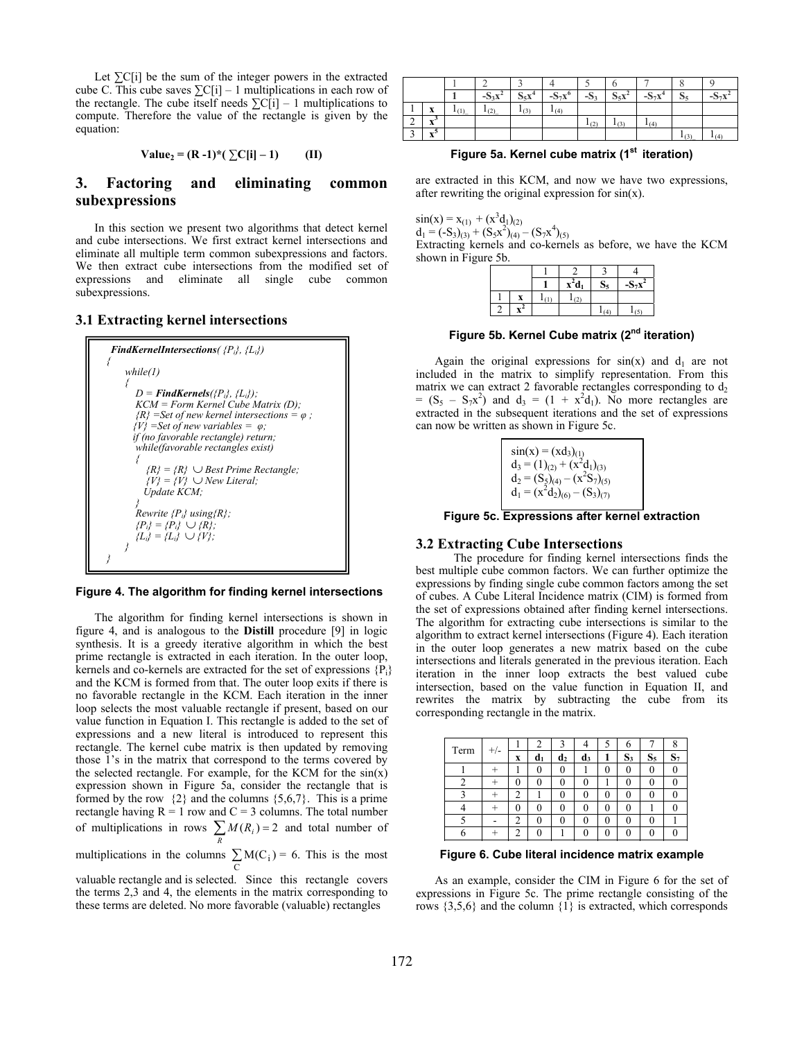Let  $\Sigma$ C[i] be the sum of the integer powers in the extracted cube C. This cube saves  $\Sigma$ C[i] – 1 multiplications in each row of the rectangle. The cube itself needs  $\Sigma$ C[i] – 1 multiplications to compute. Therefore the value of the rectangle is given by the equation:

Value<sub>2</sub> = (R - 1)\*(
$$
\sum C[i] - 1
$$
) (II)

# **3. Factoring and eliminating common subexpressions**

In this section we present two algorithms that detect kernel and cube intersections. We first extract kernel intersections and eliminate all multiple term common subexpressions and factors. We then extract cube intersections from the modified set of expressions and eliminate all single cube common subexpressions.

#### **3.1 Extracting kernel intersections**



**Figure 4. The algorithm for finding kernel intersections**

 The algorithm for finding kernel intersections is shown in figure 4, and is analogous to the **Distill** procedure [9] in logic synthesis. It is a greedy iterative algorithm in which the best prime rectangle is extracted in each iteration. In the outer loop, kernels and co-kernels are extracted for the set of expressions  $\{P_i\}$ and the KCM is formed from that. The outer loop exits if there is no favorable rectangle in the KCM. Each iteration in the inner loop selects the most valuable rectangle if present, based on our value function in Equation I. This rectangle is added to the set of expressions and a new literal is introduced to represent this rectangle. The kernel cube matrix is then updated by removing those 1's in the matrix that correspond to the terms covered by the selected rectangle. For example, for the KCM for the  $sin(x)$ expression shown in Figure 5a, consider the rectangle that is formed by the row  $\{2\}$  and the columns  $\{5,6,7\}$ . This is a prime rectangle having  $R = 1$  row and  $C = 3$  columns. The total number of multiplications in rows  $\sum M(R_i) = 2$  and total number of *R*

multiplications in the columns  $\sum M(C_i)$  $\sum_{i} M(C_i) = 6$ . This is the most

valuable rectangle and is selected. Since this rectangle covers the terms 2,3 and 4, the elements in the matrix corresponding to these terms are deleted. No more favorable (valuable) rectangles

|             |                                |     | $-S_3x$ | $S-x^4$<br>55 <sub>A</sub> | $C = 0$<br>$-57X$ | $\sim$<br>- 33 | 55X | $-S_7x^*$ | בע  | "\J'/ A |
|-------------|--------------------------------|-----|---------|----------------------------|-------------------|----------------|-----|-----------|-----|---------|
|             | $\mathbf{v}$<br>л              | (1) | (2)     | (3)                        | 1(4)              |                |     |           |     |         |
| $\sim$<br>∸ | $\mathbf{v}^{\mathsf{J}}$<br>А |     |         |                            |                   | 1(2)           | (3) | 1(4)      |     |         |
| $\sim$<br>ر | ູລ<br>л                        |     |         |                            |                   |                |     |           | د ا | 1(4)    |

Figure 5a. Kernel cube matrix (1<sup>st</sup> iteration)

are extracted in this KCM, and now we have two expressions, after rewriting the original expression for  $sin(x)$ .

 $sin(x) = x_{(1)} + (x^3d_1)_{(2)}$  $d_1 = (-S_3)_{(3)}^{(1)} + (\dot{S}_5 x^2)_{(4)}^{(2)} - (S_7 x^4)_{(5)}$ 

Extracting kernels and co-kernels as before, we have the KCM shown in Figure 5b.

| $S_5$<br>$-S_7x$ |
|------------------|
|                  |
|                  |
|                  |

Figure 5b. Kernel Cube matrix (2<sup>nd</sup> iteration)

Again the original expressions for  $sin(x)$  and  $d_1$  are not included in the matrix to simplify representation. From this matrix we can extract 2 favorable rectangles corresponding to  $d_2$  $= (S_5 - S_7x^2)$  and  $d_3 = (1 + x^2d_1)$ . No more rectangles are extracted in the subsequent iterations and the set of expressions can now be written as shown in Figure 5c.

> $sin(x) = (xd_3)_{(1)}$  $d_3 = (1)_{(2)} + (x^2 d_1)_{(3)}$  $d_2 = (S_5)_{(4)} - (x^2S_7)_{(5)}$  $d_1 = (x^2 d_2)_{(6)} - (S_3)_{(7)}$

**Figure 5c. Expressions after kernel extraction** 

#### **3.2 Extracting Cube Intersections**

The procedure for finding kernel intersections finds the best multiple cube common factors. We can further optimize the expressions by finding single cube common factors among the set of cubes. A Cube Literal Incidence matrix (CIM) is formed from the set of expressions obtained after finding kernel intersections. The algorithm for extracting cube intersections is similar to the algorithm to extract kernel intersections (Figure 4). Each iteration in the outer loop generates a new matrix based on the cube intersections and literals generated in the previous iteration. Each iteration in the inner loop extracts the best valued cube intersection, based on the value function in Equation II, and rewrites the matrix by subtracting the cube from its corresponding rectangle in the matrix.

| Term | $+/-$ |   |                |                |       | C |       |       |  |
|------|-------|---|----------------|----------------|-------|---|-------|-------|--|
|      |       | X | d <sub>1</sub> | d <sub>2</sub> | $d_3$ |   | $S_3$ | $S_5$ |  |
|      |       |   | 0              | 0              |       | U |       | U     |  |
|      |       | U | 0              | U              |       |   |       | u     |  |
|      |       |   |                | 0              | 0     | 0 |       | O     |  |
|      |       | 0 | 0              | 0              | 0     | 0 |       |       |  |
|      |       | 2 | 0              | 0              |       | 0 | 0     | O     |  |
|      |       | 2 | 0              |                |       | 0 |       |       |  |
|      |       |   |                |                |       |   |       |       |  |

**Figure 6. Cube literal incidence matrix example** 

 As an example, consider the CIM in Figure 6 for the set of expressions in Figure 5c. The prime rectangle consisting of the rows {3,5,6} and the column {1} is extracted, which corresponds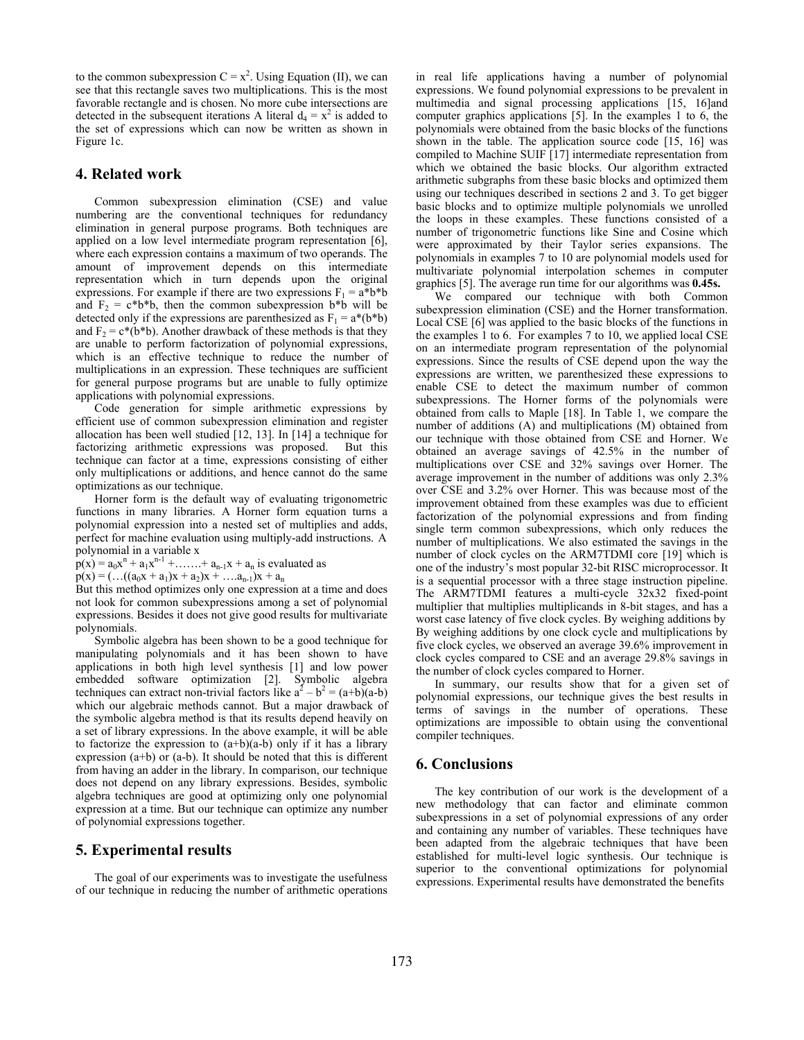to the common subexpression  $C = x^2$ . Using Equation (II), we can see that this rectangle saves two multiplications. This is the most favorable rectangle and is chosen. No more cube intersections are detected in the subsequent iterations A literal  $d_4 = x^2$  is added to the set of expressions which can now be written as shown in Figure 1c.

# **4. Related work**

Common subexpression elimination (CSE) and value numbering are the conventional techniques for redundancy elimination in general purpose programs. Both techniques are applied on a low level intermediate program representation [6], where each expression contains a maximum of two operands. The amount of improvement depends on this intermediate representation which in turn depends upon the original expressions. For example if there are two expressions  $F_1 = a^*b^*b$ and  $F<sub>2</sub> = c*b*b$ , then the common subexpression b<sup>\*</sup>b will be detected only if the expressions are parenthesized as  $F_1 = a^*(b^*b)$ and  $F_2 = c^*(b^*b)$ . Another drawback of these methods is that they are unable to perform factorization of polynomial expressions, which is an effective technique to reduce the number of multiplications in an expression. These techniques are sufficient for general purpose programs but are unable to fully optimize applications with polynomial expressions.

 Code generation for simple arithmetic expressions by efficient use of common subexpression elimination and register allocation has been well studied [12, 13]. In [14] a technique for factorizing arithmetic expressions was proposed. But this technique can factor at a time, expressions consisting of either only multiplications or additions, and hence cannot do the same optimizations as our technique.

 Horner form is the default way of evaluating trigonometric functions in many libraries. A Horner form equation turns a polynomial expression into a nested set of multiplies and adds, perfect for machine evaluation using multiply-add instructions. A polynomial in a variable x

 $p(x) = a_0x^n + a_1x^{n-1} + \dots + a_{n-1}x + a_n$  is evaluated as

 $p(x) = (...(a_0x + a_1)x + a_2)x + ...a_{n-1})x + a_n$ 

But this method optimizes only one expression at a time and does not look for common subexpressions among a set of polynomial expressions. Besides it does not give good results for multivariate polynomials.

Symbolic algebra has been shown to be a good technique for manipulating polynomials and it has been shown to have applications in both high level synthesis [1] and low power embedded software optimization [2]. Symbolic algebra techniques can extract non-trivial factors like  $a^2 - b^2 = (a+b)(a-b)$ which our algebraic methods cannot. But a major drawback of the symbolic algebra method is that its results depend heavily on a set of library expressions. In the above example, it will be able to factorize the expression to  $(a+b)(a-b)$  only if it has a library expression (a+b) or (a-b). It should be noted that this is different from having an adder in the library. In comparison, our technique does not depend on any library expressions. Besides, symbolic algebra techniques are good at optimizing only one polynomial expression at a time. But our technique can optimize any number of polynomial expressions together.

# **5. Experimental results**

 The goal of our experiments was to investigate the usefulness of our technique in reducing the number of arithmetic operations in real life applications having a number of polynomial expressions. We found polynomial expressions to be prevalent in multimedia and signal processing applications [15, 16]and computer graphics applications [5]. In the examples 1 to 6, the polynomials were obtained from the basic blocks of the functions shown in the table. The application source code [15, 16] was compiled to Machine SUIF [17] intermediate representation from which we obtained the basic blocks. Our algorithm extracted arithmetic subgraphs from these basic blocks and optimized them using our techniques described in sections 2 and 3. To get bigger basic blocks and to optimize multiple polynomials we unrolled the loops in these examples. These functions consisted of a number of trigonometric functions like Sine and Cosine which were approximated by their Taylor series expansions. The polynomials in examples 7 to 10 are polynomial models used for multivariate polynomial interpolation schemes in computer graphics [5]. The average run time for our algorithms was **0.45s.** 

 We compared our technique with both Common subexpression elimination (CSE) and the Horner transformation. Local CSE [6] was applied to the basic blocks of the functions in the examples 1 to 6. For examples 7 to 10, we applied local CSE on an intermediate program representation of the polynomial expressions. Since the results of CSE depend upon the way the expressions are written, we parenthesized these expressions to enable CSE to detect the maximum number of common subexpressions. The Horner forms of the polynomials were obtained from calls to Maple [18]. In Table 1, we compare the number of additions (A) and multiplications (M) obtained from our technique with those obtained from CSE and Horner. We obtained an average savings of 42.5% in the number of multiplications over CSE and 32% savings over Horner. The average improvement in the number of additions was only 2.3% over CSE and 3.2% over Horner. This was because most of the improvement obtained from these examples was due to efficient factorization of the polynomial expressions and from finding single term common subexpressions, which only reduces the number of multiplications. We also estimated the savings in the number of clock cycles on the ARM7TDMI core [19] which is one of the industry's most popular 32-bit RISC microprocessor. It is a sequential processor with a three stage instruction pipeline. The ARM7TDMI features a multi-cycle 32x32 fixed-point multiplier that multiplies multiplicands in 8-bit stages, and has a worst case latency of five clock cycles. By weighing additions by By weighing additions by one clock cycle and multiplications by five clock cycles, we observed an average 39.6% improvement in clock cycles compared to CSE and an average 29.8% savings in the number of clock cycles compared to Horner.

 In summary, our results show that for a given set of polynomial expressions, our technique gives the best results in terms of savings in the number of operations. These optimizations are impossible to obtain using the conventional compiler techniques.

# **6. Conclusions**

The key contribution of our work is the development of a new methodology that can factor and eliminate common subexpressions in a set of polynomial expressions of any order and containing any number of variables. These techniques have been adapted from the algebraic techniques that have been established for multi-level logic synthesis. Our technique is superior to the conventional optimizations for polynomial expressions. Experimental results have demonstrated the benefits